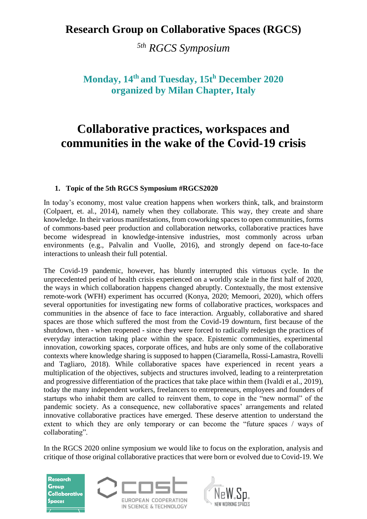## **Research Group on Collaborative Spaces (RGCS)**

*5th RGCS Symposium*

## **Monday, 14th and Tuesday, 15t<sup>h</sup> December 2020 organized by Milan Chapter, Italy**

# **Collaborative practices, workspaces and communities in the wake of the Covid-19 crisis**

#### **1. Topic of the 5th RGCS Symposium #RGCS2020**

In today's economy, most value creation happens when workers think, talk, and brainstorm (Colpaert, et. al., 2014), namely when they collaborate. This way, they create and share knowledge. In their various manifestations, from coworking spaces to open communities, forms of commons-based peer production and collaboration networks, collaborative practices have become widespread in knowledge-intensive industries, most commonly across urban environments (e.g., Palvalin and Vuolle, 2016), and strongly depend on face-to-face interactions to unleash their full potential.

The Covid-19 pandemic, however, has bluntly interrupted this virtuous cycle. In the unprecedented period of health crisis experienced on a worldly scale in the first half of 2020, the ways in which collaboration happens changed abruptly. Contextually, the most extensive remote-work (WFH) experiment has occurred (Konya, 2020; Memoori, 2020), which offers several opportunities for investigating new forms of collaborative practices, workspaces and communities in the absence of face to face interaction. Arguably, collaborative and shared spaces are those which suffered the most from the Covid-19 downturn, first because of the shutdown, then - when reopened - since they were forced to radically redesign the practices of everyday interaction taking place within the space. Epistemic communities, experimental innovation, coworking spaces, corporate offices, and hubs are only some of the collaborative contexts where knowledge sharing is supposed to happen (Ciaramella, Rossi-Lamastra, Rovelli and Tagliaro, 2018). While collaborative spaces have experienced in recent years a multiplication of the objectives, subjects and structures involved, leading to a reinterpretation and progressive differentiation of the practices that take place within them (Ivaldi et al., 2019), today the many independent workers, freelancers to entrepreneurs, employees and founders of startups who inhabit them are called to reinvent them, to cope in the "new normal" of the pandemic society. As a consequence, new collaborative spaces' arrangements and related innovative collaborative practices have emerged. These deserve attention to understand the extent to which they are only temporary or can become the "future spaces / ways of collaborating".

In the RGCS 2020 online symposium we would like to focus on the exploration, analysis and critique of those original collaborative practices that were born or evolved due to Covid-19. We





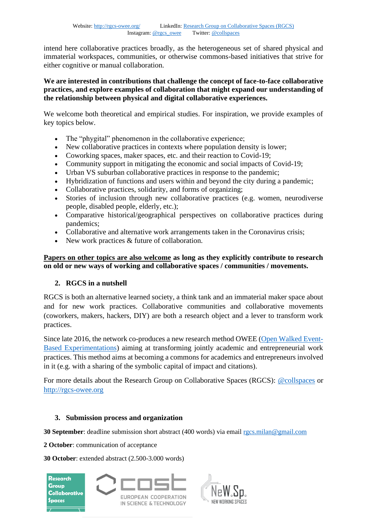intend here collaborative practices broadly, as the heterogeneous set of shared physical and immaterial workspaces, communities, or otherwise commons-based initiatives that strive for either cognitive or manual collaboration.

#### **We are interested in contributions that challenge the concept of face-to-face collaborative practices, and explore examples of collaboration that might expand our understanding of the relationship between physical and digital collaborative experiences.**

We welcome both theoretical and empirical studies. For inspiration, we provide examples of key topics below.

- The "phygital" phenomenon in the collaborative experience;
- New collaborative practices in contexts where population density is lower;
- Coworking spaces, maker spaces, etc. and their reaction to Covid-19;
- Community support in mitigating the economic and social impacts of Covid-19;
- Urban VS suburban collaborative practices in response to the pandemic:
- Hybridization of functions and users within and beyond the city during a pandemic;
- Collaborative practices, solidarity, and forms of organizing;
- Stories of inclusion through new collaborative practices (e.g. women, neurodiverse people, disabled people, elderly, etc.);
- Comparative historical/geographical perspectives on collaborative practices during pandemics;
- Collaborative and alternative work arrangements taken in the Coronavirus crisis;
- New work practices & future of collaboration.

#### **Papers on other topics are also welcome as long as they explicitly contribute to research on old or new ways of working and collaborative spaces / communities / movements.**

#### **2. RGCS in a nutshell**

RGCS is both an alternative learned society, a think tank and an immaterial maker space about and for new work practices. Collaborative communities and collaborative movements (coworkers, makers, hackers, DIY) are both a research object and a lever to transform work practices.

Since late 2016, the network co-produces a new research method OWEE [\(Open Walked Event-](http://rgcs-owee.org/owee-2/method-4/)[Based Experimentations\)](http://rgcs-owee.org/owee-2/method-4/) aiming at transforming jointly academic and entrepreneurial work practices. This method aims at becoming a commons for academics and entrepreneurs involved in it (e.g. with a sharing of the symbolic capital of impact and citations).

For more details about the Research Group on Collaborative Spaces (RGCS): [@collspaces](https://twitter.com/collspaces) or [http://rgcs-owee.org](http://rgcs-owee.org/)

#### **3. Submission process and organization**

**30 September**: deadline submission short abstract (400 words) via emai[l rgcs.milan@gmail.com](mailto:rgcs.milan@gmail.com)

**2 October**: communication of acceptance

**30 October**: extended abstract (2.500-3.000 words)



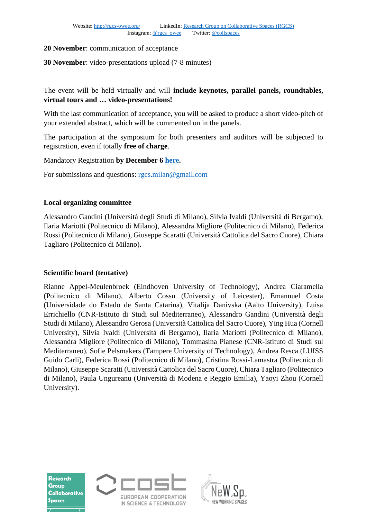#### **20 November**: communication of acceptance

#### **30 November**: video-presentations upload (7-8 minutes)

The event will be held virtually and will **include keynotes, parallel panels, roundtables, virtual tours and … video-presentations!**

With the last communication of acceptance, you will be asked to produce a short video-pitch of your extended abstract, which will be commented on in the panels.

The participation at the symposium for both presenters and auditors will be subjected to registration, even if totally **free of charge**.

Mandatory Registration **by December 6 [here.](https://www.eventbrite.fr/preview?eid=120415992475/)**

For submissions and questions: [rgcs.milan@gmail.com](mailto:rgcs.milan@gmail.com)

#### **Local organizing committee**

Alessandro Gandini (Università degli Studi di Milano), Silvia Ivaldi (Università di Bergamo), Ilaria Mariotti (Politecnico di Milano), Alessandra Migliore (Politecnico di Milano), Federica Rossi (Politecnico di Milano), Giuseppe Scaratti (Università Cattolica del Sacro Cuore), Chiara Tagliaro (Politecnico di Milano).

#### **Scientific board (tentative)**

Rianne Appel-Meulenbroek (Eindhoven University of Technology), Andrea Ciaramella (Politecnico di Milano), Alberto Cossu (University of Leicester), Emannuel Costa (Universidade do Estado de Santa Catarina), Vitalija Danivska (Aalto University), Luisa Errichiello (CNR-Istituto di Studi sul Mediterraneo), Alessandro Gandini (Università degli Studi di Milano), Alessandro Gerosa (Università Cattolica del Sacro Cuore), Ying Hua (Cornell University), Silvia Ivaldi (Università di Bergamo), Ilaria Mariotti (Politecnico di Milano), Alessandra Migliore (Politecnico di Milano), Tommasina Pianese (CNR-Istituto di Studi sul Mediterraneo), Sofie Pelsmakers (Tampere University of Technology), Andrea Resca (LUISS Guido Carli), Federica Rossi (Politecnico di Milano), Cristina Rossi-Lamastra (Politecnico di Milano), Giuseppe Scaratti (Università Cattolica del Sacro Cuore), Chiara Tagliaro (Politecnico di Milano), Paula Ungureanu (Università di Modena e Reggio Emilia), Yaoyi Zhou (Cornell University).